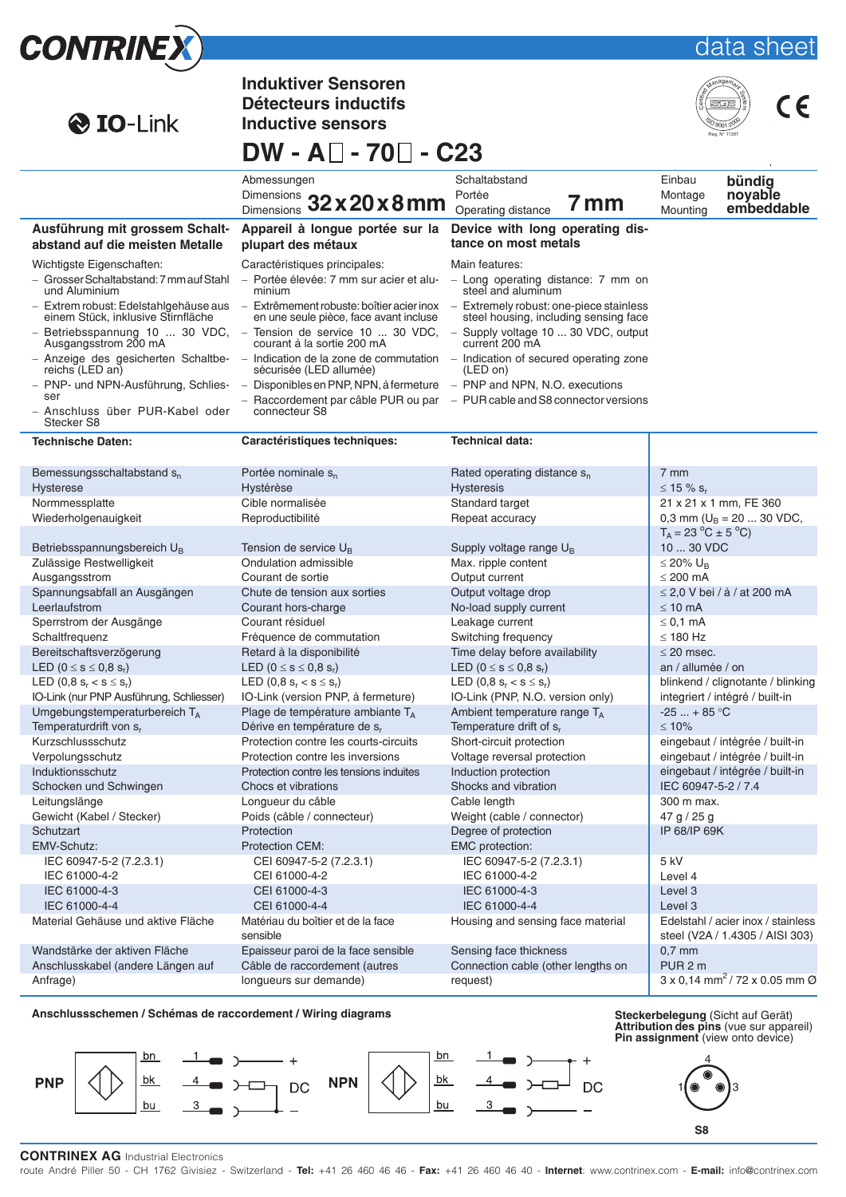| <b>CONTRINEX</b>                                                                      |                                                                                                                                                                                                                                                              |                                                                                           | data sheet                                                                       |  |
|---------------------------------------------------------------------------------------|--------------------------------------------------------------------------------------------------------------------------------------------------------------------------------------------------------------------------------------------------------------|-------------------------------------------------------------------------------------------|----------------------------------------------------------------------------------|--|
| <b>O</b> IO-Link                                                                      | <b>Induktiver Sensoren</b><br>Détecteurs inductifs<br><b>Inductive sensors</b>                                                                                                                                                                               |                                                                                           | Reg. N° 11397                                                                    |  |
|                                                                                       | DW - A□ - 70□ - C23                                                                                                                                                                                                                                          |                                                                                           |                                                                                  |  |
|                                                                                       | Abmessungen<br>Dimensions 32 x 20 x 8 mm                                                                                                                                                                                                                     | Schaltabstand<br>Portée<br>7 mm                                                           | Einbau<br>bündig<br>noyable<br>Montage<br>embeddable                             |  |
| Ausführung mit grossem Schalt-<br>abstand auf die meisten Metalle                     | Appareil à longue portée sur la<br>plupart des métaux                                                                                                                                                                                                        | Operating distance<br>Device with long operating dis-<br>tance on most metals             | Mounting                                                                         |  |
| Wichtigste Eigenschaften:<br>- Grosser Schaltabstand: 7 mm auf Stahl<br>und Aluminium | Caractéristiques principales:<br>- Portée élevée: 7 mm sur acier et alu-<br>minium                                                                                                                                                                           | Main features:<br>- Long operating distance: 7 mm on<br>steel and aluminum                |                                                                                  |  |
| einem Stück, inklusive Stirnfläche                                                    | - Extrem robust: Edelstahlgehäuse aus - Extrêmement robuste: boîtier acier inox - Extremely robust: one-piece stainless<br>en une seule pièce, face avant incluse                                                                                            | steel housing, including sensing face                                                     |                                                                                  |  |
| Ausgangsstrom 200 mA                                                                  | - Betriebsspannung 10  30 VDC, - Tension de service 10  30 VDC, - Supply voltage 10  30 VDC, output<br>courant à la sortie 200 mA<br>$-$ Anzeige des gesicherten Schaltbe- $-$ Indication de la zone de commutation $-$ Indication of secured operating zone | current 200 mA                                                                            |                                                                                  |  |
| reichs (LED an)<br>ser                                                                | sécurisée (LED allumée)<br>- PNP- und NPN-Ausführung, Schlies- - Disponibles en PNP, NPN, à fermeture - PNP and NPN, N.O. executions                                                                                                                         | (LED on)<br>$-$ Raccordement par câble PUR ou par $-$ PUR cable and S8 connector versions |                                                                                  |  |
| - Anschluss über PUR-Kabel oder<br>Stecker S8                                         | connecteur S8                                                                                                                                                                                                                                                |                                                                                           |                                                                                  |  |
| <b>Technische Daten:</b>                                                              | Caractéristiques techniques:                                                                                                                                                                                                                                 | <b>Technical data:</b>                                                                    |                                                                                  |  |
| Bemessungsschaltabstand s <sub>n</sub><br><b>Hysterese</b>                            | Portée nominale s <sub>n</sub><br>Hystérèse                                                                                                                                                                                                                  | Rated operating distance s <sub>n</sub><br><b>Hysteresis</b>                              | $7 \text{ mm}$<br>$\leq$ 15 % s <sub>r</sub>                                     |  |
| Normmessplatte<br>Wiederholgenauigkeit                                                | Cible normalisée<br>Reproductibilité                                                                                                                                                                                                                         | Standard target<br>Repeat accuracy                                                        | 21 x 21 x 1 mm, FE 360<br>0,3 mm ( $U_B$ = 20  30 VDC,<br>$T_A = 23 °C \pm 5 °C$ |  |
| Betriebsspannungsbereich U <sub>B</sub>                                               | Tension de service $U_{B}$                                                                                                                                                                                                                                   | Supply voltage range U <sub>B</sub>                                                       | 10  30 VDC                                                                       |  |
| Zulässige Restwelligkeit<br>Ausgangsstrom                                             | Ondulation admissible<br>Courant de sortie                                                                                                                                                                                                                   | Max. ripple content<br>Output current                                                     | $\leq$ 20% U <sub>B</sub><br>$\leq$ 200 mA                                       |  |
| Spannungsabfall an Ausgängen<br>Leerlaufstrom                                         | Chute de tension aux sorties<br>Courant hors-charge                                                                                                                                                                                                          | Output voltage drop                                                                       | $\leq$ 2.0 V bei / à / at 200 mA<br>$\leq 10$ mA                                 |  |
| Sperrstrom der Ausgänge                                                               | Courant résiduel                                                                                                                                                                                                                                             | No-load supply current<br>Leakage current                                                 | $\leq$ 0.1 mA                                                                    |  |
| Schaltfrequenz                                                                        | Fréquence de commutation                                                                                                                                                                                                                                     | Switching frequency                                                                       | $\leq$ 180 Hz                                                                    |  |
| Bereitschaftsverzögerung<br>LED $(0 \le s \le 0.8 s_r)$                               | Retard à la disponibilité<br>LED $(0 \le s \le 0.8 s_r)$                                                                                                                                                                                                     | Time delay before availability<br>LED $(0 \le s \le 0.8 s_r)$                             | $\leq$ 20 msec.<br>an / allumée / on                                             |  |
| LED $(0,8 \text{ s}_{r} < s \leq s_{r})$                                              | LED $(0, 8 \text{ s}_r < s \leq s_r)$                                                                                                                                                                                                                        | LED $(0,8 \text{ s}_{r} < s \leq s_{r})$                                                  | blinkend / clignotante / blinking                                                |  |
| IO-Link (nur PNP Ausführung, Schliesser)                                              | IO-Link (version PNP, à fermeture)                                                                                                                                                                                                                           | IO-Link (PNP, N.O. version only)                                                          | integriert / intégré / built-in                                                  |  |
| Umgebungstemperaturbereich TA<br>Temperaturdrift von s,                               | Plage de température ambiante TA<br>Dérive en température de s,                                                                                                                                                                                              | Ambient temperature range TA<br>Temperature drift of $s_r$                                | $-25 + 85$ °C<br>$≤ 10%$                                                         |  |
| Kurzschlussschutz                                                                     | Protection contre les courts-circuits                                                                                                                                                                                                                        | Short-circuit protection                                                                  | eingebaut / intégrée / built-in                                                  |  |
| Verpolungsschutz                                                                      | Protection contre les inversions                                                                                                                                                                                                                             | Voltage reversal protection                                                               | eingebaut / intégrée / built-in                                                  |  |
| Induktionsschutz<br>Schocken und Schwingen                                            | Protection contre les tensions induites<br>Chocs et vibrations                                                                                                                                                                                               | Induction protection<br>Shocks and vibration                                              | eingebaut / intégrée / built-in<br>IEC 60947-5-2 / 7.4                           |  |
| Leitungslänge                                                                         | Longueur du câble                                                                                                                                                                                                                                            | Cable length                                                                              | 300 m max.                                                                       |  |
| Gewicht (Kabel / Stecker)                                                             | Poids (câble / connecteur)                                                                                                                                                                                                                                   | Weight (cable / connector)                                                                | 47 g $/$ 25 g                                                                    |  |
| Schutzart                                                                             | Protection                                                                                                                                                                                                                                                   | Degree of protection                                                                      | IP 68/IP 69K                                                                     |  |
| EMV-Schutz:<br>IEC 60947-5-2 (7.2.3.1)                                                | Protection CEM:<br>CEI 60947-5-2 (7.2.3.1)                                                                                                                                                                                                                   | <b>EMC</b> protection:<br>IEC 60947-5-2 (7.2.3.1)                                         | 5 kV                                                                             |  |
| IEC 61000-4-2                                                                         | CEI 61000-4-2                                                                                                                                                                                                                                                | IEC 61000-4-2                                                                             | Level 4                                                                          |  |
| IEC 61000-4-3                                                                         | CEI 61000-4-3                                                                                                                                                                                                                                                | IEC 61000-4-3                                                                             | Level 3                                                                          |  |
| IEC 61000-4-4<br>Material Gehäuse und aktive Fläche                                   | CEI 61000-4-4<br>Matériau du boîtier et de la face                                                                                                                                                                                                           | IEC 61000-4-4<br>Housing and sensing face material                                        | Level 3<br>Edelstahl / acier inox / stainless                                    |  |
|                                                                                       | sensible                                                                                                                                                                                                                                                     |                                                                                           | steel (V2A / 1.4305 / AISI 303)                                                  |  |
| Wandstärke der aktiven Fläche                                                         | Epaisseur paroi de la face sensible                                                                                                                                                                                                                          | Sensing face thickness                                                                    | $0,7$ mm                                                                         |  |
| Anschlusskabel (andere Längen auf                                                     | Câble de raccordement (autres                                                                                                                                                                                                                                | Connection cable (other lengths on                                                        | PUR <sub>2</sub> m                                                               |  |
| Anfrage)                                                                              | longueurs sur demande)                                                                                                                                                                                                                                       | request)                                                                                  | $3 \times 0,14$ mm <sup>2</sup> / 72 x 0.05 mm Ø                                 |  |

**Anschlussschemen / Schémas de raccordement / Wiring diagrams** 



**Attribution des pins** (vue sur appareil) **Pin assignment** (view onto device)



4

### **CONTRINEX AG** Industrial Electronics

route André Piller 50 - CH 1762 Givisiez - Switzerland - **Tel:** +41 26 460 46 46 - **Fax:** +41 26 460 46 40 - **Internet**: www.contrinex.com - **E-mail:** info@contrinex.com